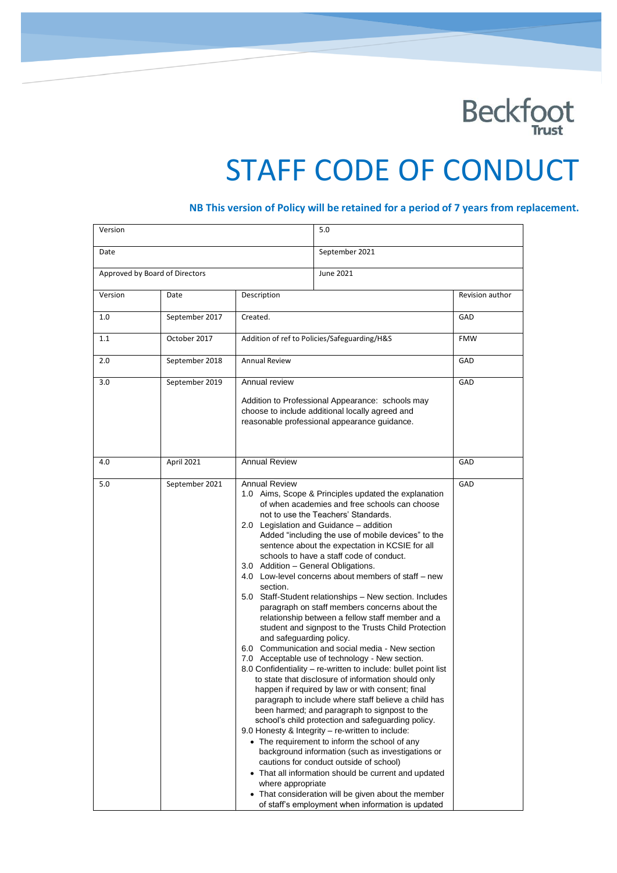

# STAFF CODE OF CONDUCT

## **NB This version of Policy will be retained for a period of 7 years from replacement.**

| Version |                                |                                                                                                                                                                                                                                                                                                                                                                                                                                                                                                                                                                                                                                                                                                                                                                                                                                                                                                                                                                                                                                                                                                                                                                                                                                                                                                                                                                                                                                                                                                                                                                                    | 5.0            |                 |
|---------|--------------------------------|------------------------------------------------------------------------------------------------------------------------------------------------------------------------------------------------------------------------------------------------------------------------------------------------------------------------------------------------------------------------------------------------------------------------------------------------------------------------------------------------------------------------------------------------------------------------------------------------------------------------------------------------------------------------------------------------------------------------------------------------------------------------------------------------------------------------------------------------------------------------------------------------------------------------------------------------------------------------------------------------------------------------------------------------------------------------------------------------------------------------------------------------------------------------------------------------------------------------------------------------------------------------------------------------------------------------------------------------------------------------------------------------------------------------------------------------------------------------------------------------------------------------------------------------------------------------------------|----------------|-----------------|
| Date    |                                |                                                                                                                                                                                                                                                                                                                                                                                                                                                                                                                                                                                                                                                                                                                                                                                                                                                                                                                                                                                                                                                                                                                                                                                                                                                                                                                                                                                                                                                                                                                                                                                    | September 2021 |                 |
|         | Approved by Board of Directors |                                                                                                                                                                                                                                                                                                                                                                                                                                                                                                                                                                                                                                                                                                                                                                                                                                                                                                                                                                                                                                                                                                                                                                                                                                                                                                                                                                                                                                                                                                                                                                                    | June 2021      |                 |
| Version | Date                           | Description                                                                                                                                                                                                                                                                                                                                                                                                                                                                                                                                                                                                                                                                                                                                                                                                                                                                                                                                                                                                                                                                                                                                                                                                                                                                                                                                                                                                                                                                                                                                                                        |                | Revision author |
| 1.0     | September 2017                 | Created.                                                                                                                                                                                                                                                                                                                                                                                                                                                                                                                                                                                                                                                                                                                                                                                                                                                                                                                                                                                                                                                                                                                                                                                                                                                                                                                                                                                                                                                                                                                                                                           |                | GAD             |
| 1.1     | October 2017                   | Addition of ref to Policies/Safeguarding/H&S                                                                                                                                                                                                                                                                                                                                                                                                                                                                                                                                                                                                                                                                                                                                                                                                                                                                                                                                                                                                                                                                                                                                                                                                                                                                                                                                                                                                                                                                                                                                       |                | <b>FMW</b>      |
| 2.0     | September 2018                 | <b>Annual Review</b>                                                                                                                                                                                                                                                                                                                                                                                                                                                                                                                                                                                                                                                                                                                                                                                                                                                                                                                                                                                                                                                                                                                                                                                                                                                                                                                                                                                                                                                                                                                                                               |                | GAD             |
| 3.0     | September 2019                 | Annual review<br>Addition to Professional Appearance: schools may<br>choose to include additional locally agreed and<br>reasonable professional appearance guidance.                                                                                                                                                                                                                                                                                                                                                                                                                                                                                                                                                                                                                                                                                                                                                                                                                                                                                                                                                                                                                                                                                                                                                                                                                                                                                                                                                                                                               |                | GAD             |
| 4.0     | April 2021                     | <b>Annual Review</b>                                                                                                                                                                                                                                                                                                                                                                                                                                                                                                                                                                                                                                                                                                                                                                                                                                                                                                                                                                                                                                                                                                                                                                                                                                                                                                                                                                                                                                                                                                                                                               |                | GAD             |
| 5.0     | September 2021                 | <b>Annual Review</b><br>1.0 Aims, Scope & Principles updated the explanation<br>of when academies and free schools can choose<br>not to use the Teachers' Standards.<br>2.0 Legislation and Guidance - addition<br>Added "including the use of mobile devices" to the<br>sentence about the expectation in KCSIE for all<br>schools to have a staff code of conduct.<br>3.0 Addition - General Obligations.<br>4.0 Low-level concerns about members of staff – new<br>section.<br>5.0 Staff-Student relationships - New section. Includes<br>paragraph on staff members concerns about the<br>relationship between a fellow staff member and a<br>student and signpost to the Trusts Child Protection<br>and safeguarding policy.<br>6.0 Communication and social media - New section<br>7.0 Acceptable use of technology - New section.<br>8.0 Confidentiality - re-written to include: bullet point list<br>to state that disclosure of information should only<br>happen if required by law or with consent; final<br>paragraph to include where staff believe a child has<br>been harmed; and paragraph to signpost to the<br>school's child protection and safeguarding policy.<br>9.0 Honesty & Integrity - re-written to include:<br>• The requirement to inform the school of any<br>background information (such as investigations or<br>cautions for conduct outside of school)<br>• That all information should be current and updated<br>where appropriate<br>• That consideration will be given about the member<br>of staff's employment when information is updated |                | GAD             |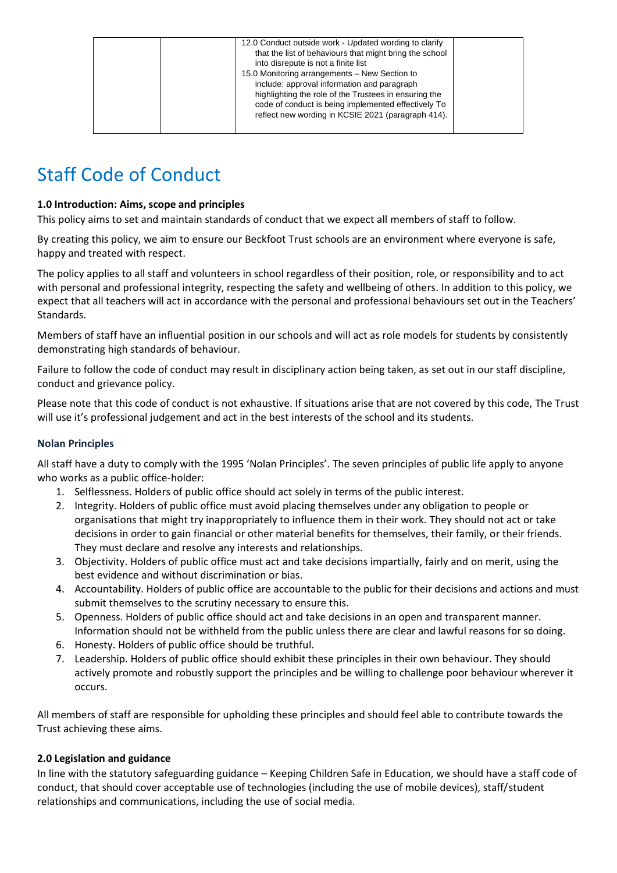| 12.0 Conduct outside work - Updated wording to clarify<br>that the list of behaviours that might bring the school<br>into disrepute is not a finite list<br>15.0 Monitoring arrangements - New Section to<br>include: approval information and paragraph<br>highlighting the role of the Trustees in ensuring the<br>code of conduct is being implemented effectively To<br>reflect new wording in KCSIE 2021 (paragraph 414). |  |
|--------------------------------------------------------------------------------------------------------------------------------------------------------------------------------------------------------------------------------------------------------------------------------------------------------------------------------------------------------------------------------------------------------------------------------|--|
|--------------------------------------------------------------------------------------------------------------------------------------------------------------------------------------------------------------------------------------------------------------------------------------------------------------------------------------------------------------------------------------------------------------------------------|--|

# Staff Code of Conduct

# **1.0 Introduction: Aims, scope and principles**

This policy aims to set and maintain standards of conduct that we expect all members of staff to follow.

By creating this policy, we aim to ensure our Beckfoot Trust schools are an environment where everyone is safe, happy and treated with respect.

The policy applies to all staff and volunteers in school regardless of their position, role, or responsibility and to act with personal and professional integrity, respecting the safety and wellbeing of others. In addition to this policy, we expect that all teachers will act in accordance with the personal and professional behaviours set out in the Teachers' Standards.

Members of staff have an influential position in our schools and will act as role models for students by consistently demonstrating high standards of behaviour.

Failure to follow the code of conduct may result in disciplinary action being taken, as set out in our staff discipline, conduct and grievance policy.

Please note that this code of conduct is not exhaustive. If situations arise that are not covered by this code, The Trust will use it's professional judgement and act in the best interests of the school and its students.

# **Nolan Principles**

All staff have a duty to comply with the 1995 'Nolan Principles'. The seven [principles](https://www.gov.uk/government/organisations/the-committee-on-standards-in-public-life) of public life apply to anyone who works as a public office-holder:

- 1. Selflessness. Holders of public office should act solely in terms of the public [interest.](https://www.gov.uk/government/organisations/the-committee-on-standards-in-public-life)
- 2. Integrity. Holders of public office must avoid placing [themselves](https://www.gov.uk/government/organisations/the-committee-on-standards-in-public-life) under any obligation to people or organisations that might try [inappropriately](https://www.gov.uk/government/organisations/the-committee-on-standards-in-public-life) to influence them in their work. They should not act or take decisions in order to gain financial or other material benefits for [themselves,](https://www.gov.uk/government/organisations/the-committee-on-standards-in-public-life) their family, or their friends. They must declare and resolve any interests and [relationships.](https://www.gov.uk/government/organisations/the-committee-on-standards-in-public-life)
- 3. Objectivity. Holders of public office must act and take decisions [impartially,](https://www.gov.uk/government/organisations/the-committee-on-standards-in-public-life) fairly and on merit, using the best evidence and without [discrimination](https://www.gov.uk/government/organisations/the-committee-on-standards-in-public-life) or bias.
- 4. Accountability. Holders of public office are [accountable](https://www.gov.uk/government/organisations/the-committee-on-standards-in-public-life) to the public for their decisions and actions and must submit [themselves](https://www.gov.uk/government/organisations/the-committee-on-standards-in-public-life) to the scrutiny necessary to ensure this.
- 5. Openness. Holders of public office should act and take decisions in an open and [transparent](https://www.gov.uk/government/organisations/the-committee-on-standards-in-public-life) manner. [Information](https://www.gov.uk/government/organisations/the-committee-on-standards-in-public-life) should not be withheld from the public unless there are clear and lawful reasons for so doing.
- 6. Honesty. Holders of public office should be [truthful.](https://www.gov.uk/government/organisations/the-committee-on-standards-in-public-life)
- 7. Leadership. Holders of public office should exhibit these principles in their own [behaviour.](https://www.gov.uk/government/organisations/the-committee-on-standards-in-public-life) They should actively promote and robustly support the principles and be willing to challenge poor [behaviour](https://www.gov.uk/government/organisations/the-committee-on-standards-in-public-life) wherever it [occurs.](https://www.gov.uk/government/organisations/the-committee-on-standards-in-public-life)

All members of staff are responsible for upholding these principles and should feel able to contribute towards the Trust achieving these aims.

# **2.0 Legislation and guidance**

In line with the statutory safeguarding guidance – Keeping Children Safe in Education, we should have a staff code of conduct, that should cover acceptable use of technologies (including the use of mobile devices), staff/student relationships and communications, including the use of social media.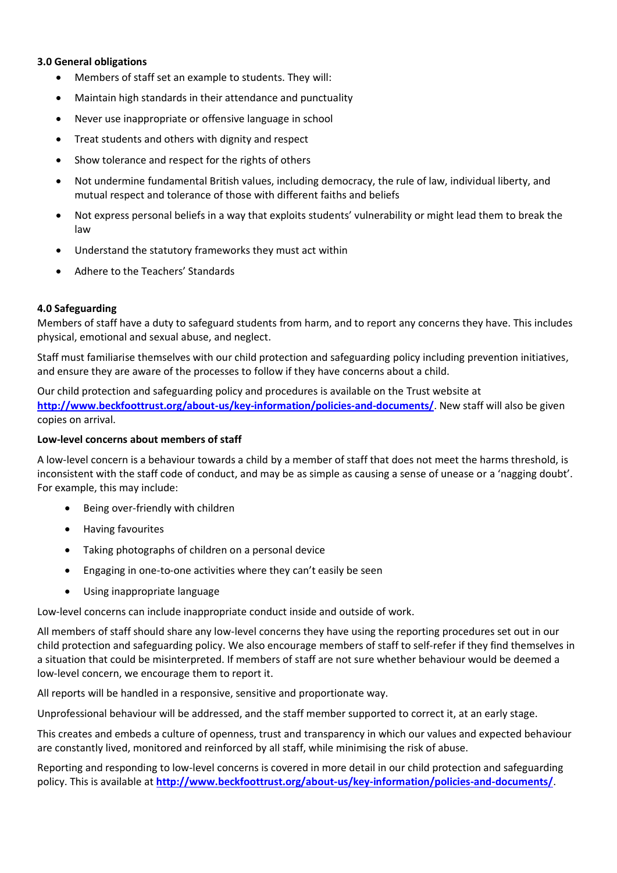## **3.0 General obligations**

- Members of staff set an example to students. They will:
- Maintain high standards in their attendance and punctuality
- Never use inappropriate or offensive language in school
- Treat students and others with dignity and respect
- Show tolerance and respect for the rights of others
- Not undermine fundamental British values, including democracy, the rule of law, individual liberty, and mutual respect and tolerance of those with different faiths and beliefs
- Not express personal beliefs in a way that exploits students' vulnerability or might lead them to break the law
- Understand the statutory frameworks they must act within
- Adhere to the Teachers' Standards

## **4.0 Safeguarding**

Members of staff have a duty to safeguard students from harm, and to report any concerns they have. This includes physical, emotional and sexual abuse, and neglect.

Staff must familiarise themselves with our child protection and safeguarding policy including prevention initiatives, and ensure they are aware of the processes to follow if they have concerns about a child.

Our child protection and safeguarding policy and procedures is available on the Trust website at **<http://www.beckfoottrust.org/about-us/key-information/policies-and-documents/>**. New staff will also be given copies on arrival.

#### **Low-level concerns about members of staff**

A low-level concern is a behaviour towards a child by a member of staff that does not meet the harms threshold, is inconsistent with the staff code of conduct, and may be as simple as causing a sense of unease or a 'nagging doubt'. For example, this may include:

- Being over-friendly with children
- Having favourites
- Taking photographs of children on a personal device
- Engaging in one-to-one activities where they can't easily be seen
- Using inappropriate language

Low-level concerns can include inappropriate conduct inside and outside of work.

All members of staff should share any low-level concerns they have using the reporting procedures set out in our child protection and safeguarding policy. We also encourage members of staff to self-refer if they find themselves in a situation that could be misinterpreted. If members of staff are not sure whether behaviour would be deemed a low-level concern, we encourage them to report it.

All reports will be handled in a responsive, sensitive and proportionate way.

Unprofessional behaviour will be addressed, and the staff member supported to correct it, at an early stage.

This creates and embeds a culture of openness, trust and transparency in which our values and expected behaviour are constantly lived, monitored and reinforced by all staff, while minimising the risk of abuse.

Reporting and responding to low-level concerns is covered in more detail in our child protection and safeguarding policy. This is available at **<http://www.beckfoottrust.org/about-us/key-information/policies-and-documents/>**.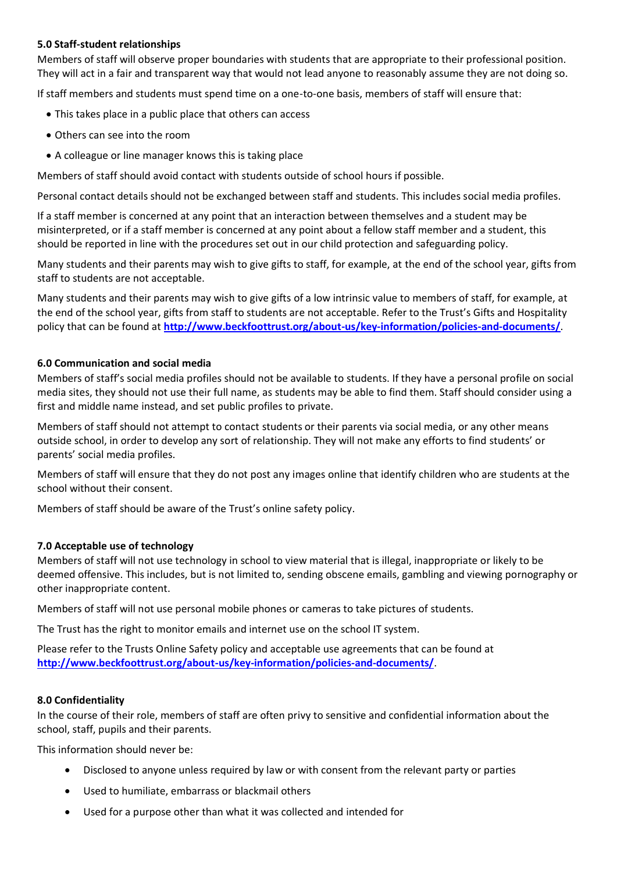## **5.0 Staff-student relationships**

Members of staff will observe proper boundaries with students that are appropriate to their professional position. They will act in a fair and transparent way that would not lead anyone to reasonably assume they are not doing so.

If staff members and students must spend time on a one-to-one basis, members of staff will ensure that:

- This takes place in a public place that others can access
- Others can see into the room
- A colleague or line manager knows this is taking place

Members of staff should avoid contact with students outside of school hours if possible.

Personal contact details should not be exchanged between staff and students. This includes social media profiles.

If a staff member is concerned at any point that an interaction between themselves and a student may be misinterpreted, or if a staff member is concerned at any point about a fellow staff member and a student, this should be reported in line with the procedures set out in our child protection and safeguarding policy.

Many students and their parents may wish to give gifts to staff, for example, at the end of the school year, gifts from staff to students are not acceptable.

Many students and their parents may wish to give gifts of a low intrinsic value to members of staff, for example, at the end of the school year, gifts from staff to students are not acceptable. Refer to the Trust's Gifts and Hospitality policy that can be found at **<http://www.beckfoottrust.org/about-us/key-information/policies-and-documents/>**.

## **6.0 Communication and social media**

Members of staff's social media profiles should not be available to students. If they have a personal profile on social media sites, they should not use their full name, as students may be able to find them. Staff should consider using a first and middle name instead, and set public profiles to private.

Members of staff should not attempt to contact students or their parents via social media, or any other means outside school, in order to develop any sort of relationship. They will not make any efforts to find students' or parents' social media profiles.

Members of staff will ensure that they do not post any images online that identify children who are students at the school without their consent.

Members of staff should be aware of the Trust's online safety policy.

#### **7.0 Acceptable use of technology**

Members of staff will not use technology in school to view material that is illegal, inappropriate or likely to be deemed offensive. This includes, but is not limited to, sending obscene emails, gambling and viewing pornography or other inappropriate content.

Members of staff will not use personal mobile phones or cameras to take pictures of students.

The Trust has the right to monitor emails and internet use on the school IT system.

Please refer to the Trusts Online Safety policy and acceptable use agreements that can be found at **<http://www.beckfoottrust.org/about-us/key-information/policies-and-documents/>**.

#### **8.0 Confidentiality**

In the course of their role, members of staff are often privy to sensitive and confidential information about the school, staff, pupils and their parents.

This information should never be:

- Disclosed to anyone unless required by law or with consent from the relevant party or parties
- Used to humiliate, embarrass or blackmail others
- Used for a purpose other than what it was collected and intended for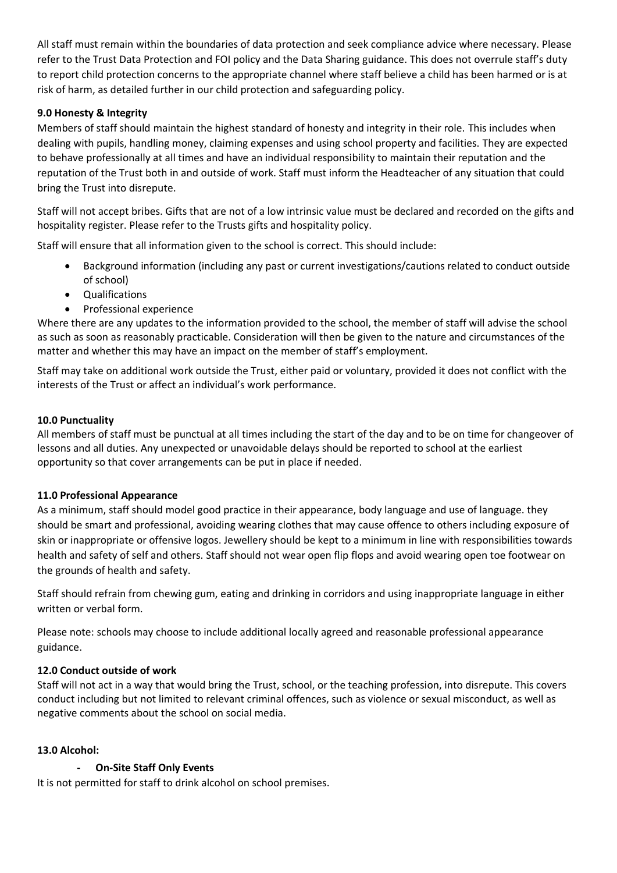All staff must remain within the boundaries of data protection and seek compliance advice where necessary. Please refer to the Trust Data Protection and FOI policy and the Data Sharing guidance. This does not overrule staff's duty to report child protection concerns to the appropriate channel where staff believe a child has been harmed or is at risk of harm, as detailed further in our child protection and safeguarding policy.

# **9.0 Honesty & Integrity**

Members of staff should maintain the highest standard of honesty and integrity in their role. This includes when dealing with pupils, handling money, claiming expenses and using school property and facilities. They are expected to behave professionally at all times and have an individual responsibility to maintain their reputation and the reputation of the Trust both in and outside of work. Staff must inform the Headteacher of any situation that could bring the Trust into disrepute.

Staff will not accept bribes. Gifts that are not of a low intrinsic value must be declared and recorded on the gifts and hospitality register. Please refer to the Trusts gifts and hospitality policy.

Staff will ensure that all information given to the school is correct. This should include:

- Background information (including any past or current investigations/cautions related to conduct outside of school)
- Qualifications
- Professional experience

Where there are any updates to the information provided to the school, the member of staff will advise the school as such as soon as reasonably practicable. Consideration will then be given to the nature and circumstances of the matter and whether this may have an impact on the member of staff's employment.

Staff may take on additional work outside the Trust, either paid or voluntary, provided it does not conflict with the interests of the Trust or affect an individual's work performance.

# **10.0 Punctuality**

All members of staff must be punctual at all times including the start of the day and to be on time for changeover of lessons and all duties. Any unexpected or unavoidable delays should be reported to school at the earliest opportunity so that cover arrangements can be put in place if needed.

# **11.0 Professional Appearance**

As a minimum, staff should model good practice in their appearance, body language and use of language. they should be smart and professional, avoiding wearing clothes that may cause offence to others including exposure of skin or inappropriate or offensive logos. Jewellery should be kept to a minimum in line with responsibilities towards health and safety of self and others. Staff should not wear open flip flops and avoid wearing open toe footwear on the grounds of health and safety.

Staff should refrain from chewing gum, eating and drinking in corridors and using inappropriate language in either written or verbal form.

Please note: schools may choose to include additional locally agreed and reasonable professional appearance guidance.

# **12.0 Conduct outside of work**

Staff will not act in a way that would bring the Trust, school, or the teaching profession, into disrepute. This covers conduct including but not limited to relevant criminal offences, such as violence or sexual misconduct, as well as negative comments about the school on social media.

# **13.0 Alcohol:**

# **- On-Site Staff Only Events**

It is not permitted for staff to drink alcohol on school premises.